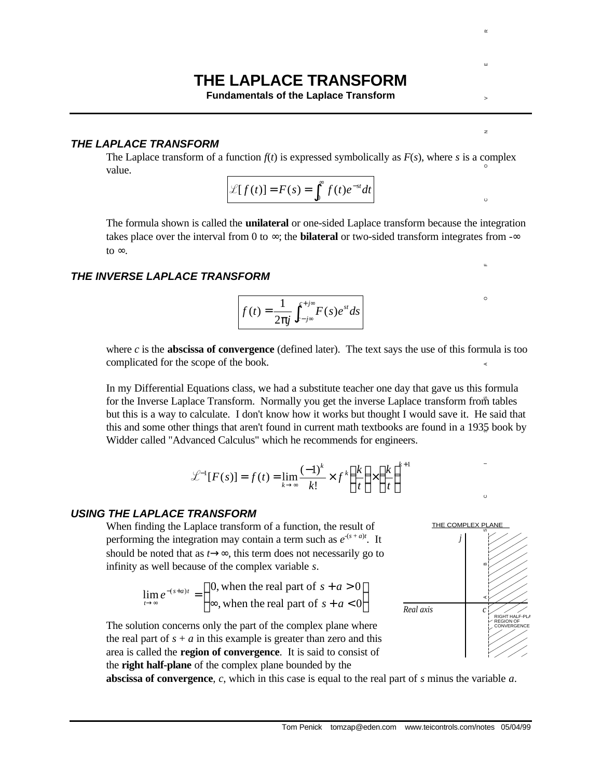# **THE LAPLACE TRANSFORM**

**Fundamentals of the Laplace Transform**

### *THE LAPLACE TRANSFORM*

The Laplace transform of a function  $f(t)$  is expressed symbolically as  $F(s)$ , where *s* is a complex value.

$$
\mathscr{L}[f(t)] = F(s) = \int_0^\infty f(t)e^{-st}dt
$$

The formula shown is called the **unilateral** or one-sided Laplace transform because the integration takes place over the interval from 0 to  $\infty$ ; the **bilateral** or two-sided transform integrates from  $-\infty$ to  $∞$ .

## *THE INVERSE LAPLACE TRANSFORM*

$$
f(t) = \frac{1}{2\pi j} \int_{c-j\infty}^{c+j\infty} F(s)e^{st} ds
$$

where  $c$  is the **abscissa of convergence** (defined later). The text says the use of this formula is too complicated for the scope of the book.

In my Differential Equations class, we had a substitute teacher one day that gave us this formula for the Inverse Laplace Transform. Normally you get the inverse Laplace transform from tables but this is a way to calculate. I don't know how it works but thought I would save it. He said that this and some other things that aren't found in current math textbooks are found in a 1935 book by Widder called "Advanced Calculus" which he recommends for engineers.

$$
\mathcal{L}^{-1}[F(s)] = f(t) = \lim_{k \to \infty} \frac{(-1)^k}{k!} \times f^k \left(\frac{k}{t}\right) \times \left(\frac{k}{t}\right)^{k+1}
$$

#### *USING THE LAPLACE TRANSFORM*

When finding the Laplace transform of a function, the result of performing the integration may contain a term such as  $e^{-(s+a)t}$ . It should be noted that as  $t \rightarrow \infty$ , this term does not necessarily go to infinity as well because of the complex variable *s*.

$$
\lim_{t \to \infty} e^{-(s+a)t} = \begin{cases} 0, \text{ when the real part of } s + a > 0 \\ \infty, \text{ when the real part of } s + a < 0 \end{cases}
$$



 $\sigma$ 

The solution concerns only the part of the complex plane where the real part of  $s + a$  in this example is greater than zero and this area is called the **region of convergence**. It is said to consist of the **right half-plane** of the complex plane bounded by the

**abscissa of convergence**, *c*, which in this case is equal to the real part of *s* minus the variable *a*.

J  $\left\{ \right\}$  $\mathbf{I}$ 

 $\overline{z}$ 

 $\circ$ 

 $\circ$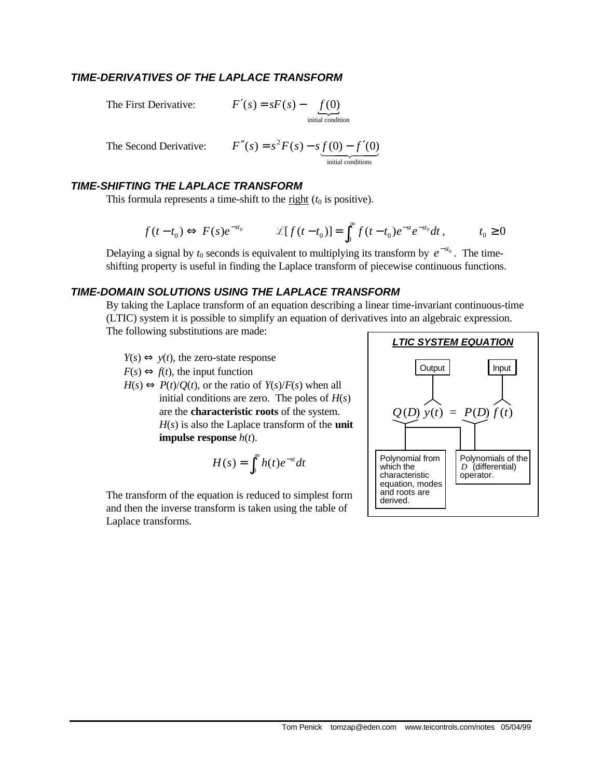# *TIME-DERIVATIVES OF THE LAPLACE TRANSFORM*

The First Derivative:  $F'(s) = sF(s) - f(0)$ <br>initial condition  $F'(s) = sF(s) - f(0)$ 

The Second Derivative:  $F''(s) = s^2 F(s) - s \underbrace{f(0) - f'(0)}_{initial conditions}$  $F''(s) = s^2 F(s) - s f(0) - f'(0)$ 

# *TIME-SHIFTING THE LAPLACE TRANSFORM*

This formula represents a time-shift to the  $\underline{\text{right}}(t_0)$  is positive).

$$
f(t-t_0) \Longleftrightarrow F(s)e^{-st_0} \qquad \mathscr{L}[f(t-t_0)] = \int_0^\infty f(t-t_0)e^{-st}e^{-st_0}dt, \qquad t_0 \ge 0
$$

Delaying a signal by  $t_0$  seconds is equivalent to multiplying its transform by  $e^{-st_0}$ . The timeshifting property is useful in finding the Laplace transform of piecewise continuous functions.

# *TIME-DOMAIN SOLUTIONS USING THE LAPLACE TRANSFORM*

By taking the Laplace transform of an equation describing a linear time-invariant continuous-time (LTIC) system it is possible to simplify an equation of derivatives into an algebraic expression. The following substitutions are made:

 $Y(s) \Leftrightarrow y(t)$ , the zero-state response  $F(s) \Leftrightarrow f(t)$ , the input function  $H(s) \Leftrightarrow P(t)/Q(t)$ , or the ratio of  $Y(s)/F(s)$  when all initial conditions are zero. The poles of *H*(*s*) are the **characteristic roots** of the system. *H*(*s*) is also the Laplace transform of the **unit impulse response** *h*(*t*).

$$
H(s) = \int_0^\infty h(t)e^{-st}dt
$$

The transform of the equation is reduced to simplest form and then the inverse transform is taken using the table of Laplace transforms.

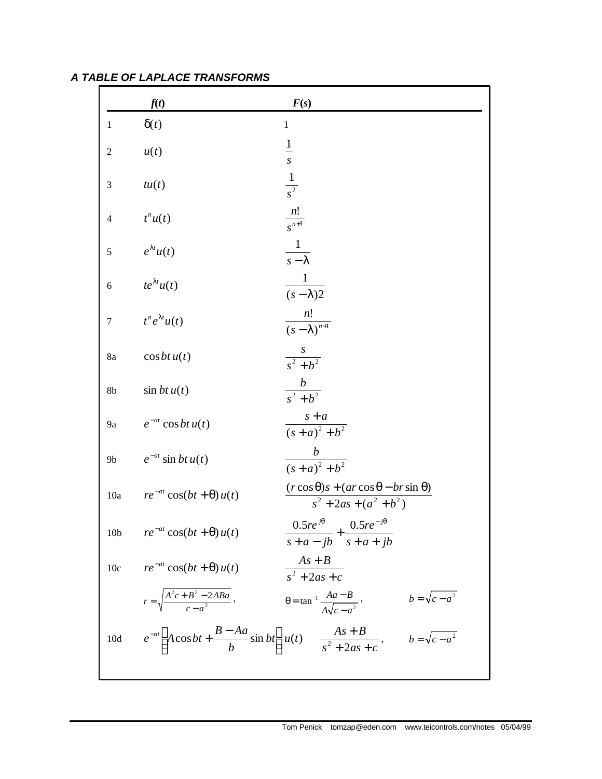|                 | f(t)                                             | F(s)                                                                                            |
|-----------------|--------------------------------------------------|-------------------------------------------------------------------------------------------------|
| 1               | $\delta(t)$                                      | $\mathbf{1}$                                                                                    |
| $\overline{2}$  | u(t)                                             | $\frac{1}{s}$                                                                                   |
| 3               | tu(t)                                            | $\frac{1}{s^2}$                                                                                 |
| $\overline{4}$  | $t^n u(t)$                                       | $\frac{n!}{s^{n+1}}$                                                                            |
| 5               | $e^{\lambda t}u(t)$                              | $\frac{1}{s-\lambda}$                                                                           |
| 6               | $te^{\lambda t}u(t)$                             | $\frac{1}{(s-\lambda)2}$                                                                        |
| $\tau$          | $t^n e^{\lambda t} u(t)$                         | $\frac{n!}{(s-\lambda)^{n+1}}$                                                                  |
| 8a              | $\cos bt u(t)$                                   | $\frac{s}{s^2 + b^2}$                                                                           |
| 8b              | $\sin btu(t)$                                    | $\frac{b}{s^2 + b^2}$                                                                           |
| 9a              | $e^{-at} \cos bt \, u(t)$                        | $\frac{s+a}{(s+a)^2+b^2}$                                                                       |
| 9 <sub>b</sub>  | $e^{-at}$ sin bt $u(t)$                          | $\frac{b}{(s+a)^2 + b^2}$                                                                       |
| 10a             | $re^{-at}\cos(bt+\theta)u(t)$                    | $(r \cos \theta)s + (ar \cos \theta - br \sin \theta)$<br>$s^2 + 2as + (a^2 + b^2)$             |
| 10 <sub>b</sub> | $re^{-at}\cos(bt+\theta)u(t)$                    | $\frac{0.5re^{j\theta}}{s+a-jb} + \frac{0.5re^{-j\theta}}{s+a+jb}$                              |
| 10c             | $re^{-at}\cos(bt+\theta)u(t)$                    | $\frac{As+B}{s^2+2as+c}$                                                                        |
|                 | $r = \sqrt{\frac{A^2c + B^2 - 2ABA}{c - a^2}}$ , | $b=\sqrt{c-a^2}$<br>$\theta = \tan^{-1} \frac{Aa - B}{A\sqrt{c - a^2}}$ ,                       |
| 10d             |                                                  | $e^{-at}$ $A\cos bt + \frac{B-Aa}{b}\sin bt$ $u(t)$ $\frac{As+B}{s^2+2as+c}$ , $b=\sqrt{c-a^2}$ |
|                 |                                                  |                                                                                                 |

| A TABLE OF LAPLACE TRANSFORMS |  |
|-------------------------------|--|
|-------------------------------|--|